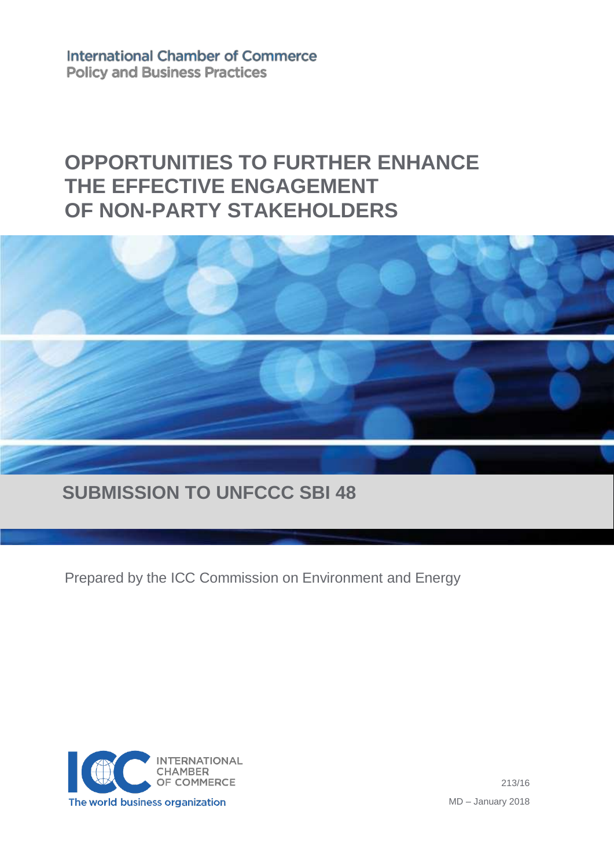**International Chamber of Commerce Policy and Business Practices** 

# **OPPORTUNITIES TO FURTHER ENHANCE THE EFFECTIVE ENGAGEMENT OF NON-PARTY STAKEHOLDERS**



## **SUBMISSION TO UNFCCC SBI 48**

Prepared by the ICC Commission on Environment and Energy



213/16 MD – January 2018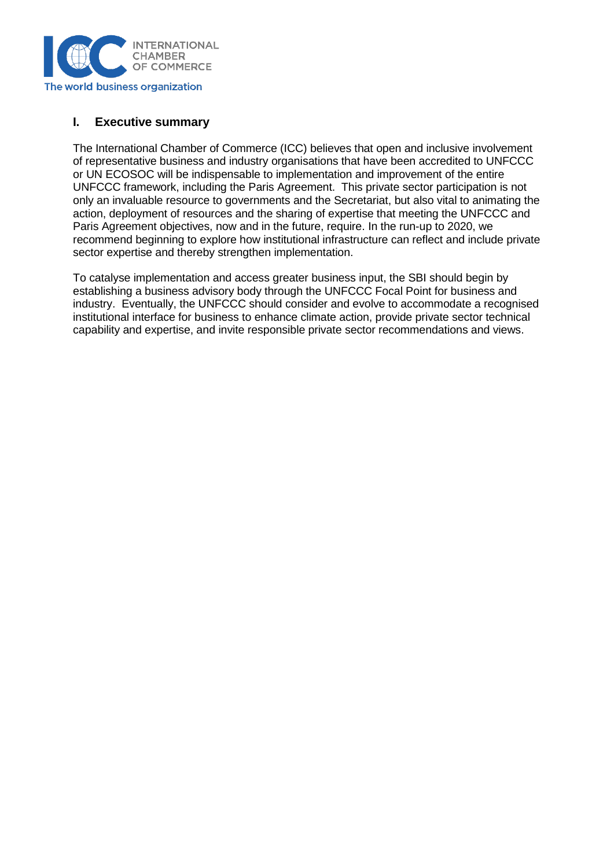

#### **I. Executive summary**

The International Chamber of Commerce (ICC) believes that open and inclusive involvement of representative business and industry organisations that have been accredited to UNFCCC or UN ECOSOC will be indispensable to implementation and improvement of the entire UNFCCC framework, including the Paris Agreement. This private sector participation is not only an invaluable resource to governments and the Secretariat, but also vital to animating the action, deployment of resources and the sharing of expertise that meeting the UNFCCC and Paris Agreement objectives, now and in the future, require. In the run-up to 2020, we recommend beginning to explore how institutional infrastructure can reflect and include private sector expertise and thereby strengthen implementation.

To catalyse implementation and access greater business input, the SBI should begin by establishing a business advisory body through the UNFCCC Focal Point for business and industry. Eventually, the UNFCCC should consider and evolve to accommodate a recognised institutional interface for business to enhance climate action, provide private sector technical capability and expertise, and invite responsible private sector recommendations and views.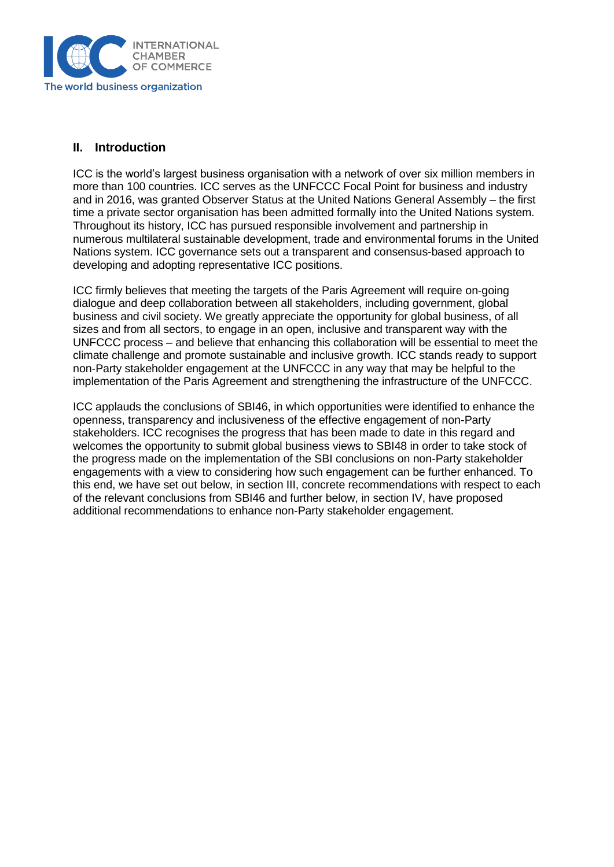

## **II. Introduction**

ICC is the world's largest business organisation with a network of over six million members in more than 100 countries. ICC serves as the UNFCCC Focal Point for business and industry and in 2016, was granted Observer Status at the United Nations General Assembly – the first time a private sector organisation has been admitted formally into the United Nations system. Throughout its history, ICC has pursued responsible involvement and partnership in numerous multilateral sustainable development, trade and environmental forums in the United Nations system. ICC governance sets out a transparent and consensus-based approach to developing and adopting representative ICC positions.

ICC firmly believes that meeting the targets of the Paris Agreement will require on-going dialogue and deep collaboration between all stakeholders, including government, global business and civil society. We greatly appreciate the opportunity for global business, of all sizes and from all sectors, to engage in an open, inclusive and transparent way with the UNFCCC process – and believe that enhancing this collaboration will be essential to meet the climate challenge and promote sustainable and inclusive growth. ICC stands ready to support non-Party stakeholder engagement at the UNFCCC in any way that may be helpful to the implementation of the Paris Agreement and strengthening the infrastructure of the UNFCCC.

ICC applauds the conclusions of SBI46, in which opportunities were identified to enhance the openness, transparency and inclusiveness of the effective engagement of non-Party stakeholders. ICC recognises the progress that has been made to date in this regard and welcomes the opportunity to submit global business views to SBI48 in order to take stock of the progress made on the implementation of the SBI conclusions on non-Party stakeholder engagements with a view to considering how such engagement can be further enhanced. To this end, we have set out below, in section III, concrete recommendations with respect to each of the relevant conclusions from SBI46 and further below, in section IV, have proposed additional recommendations to enhance non-Party stakeholder engagement.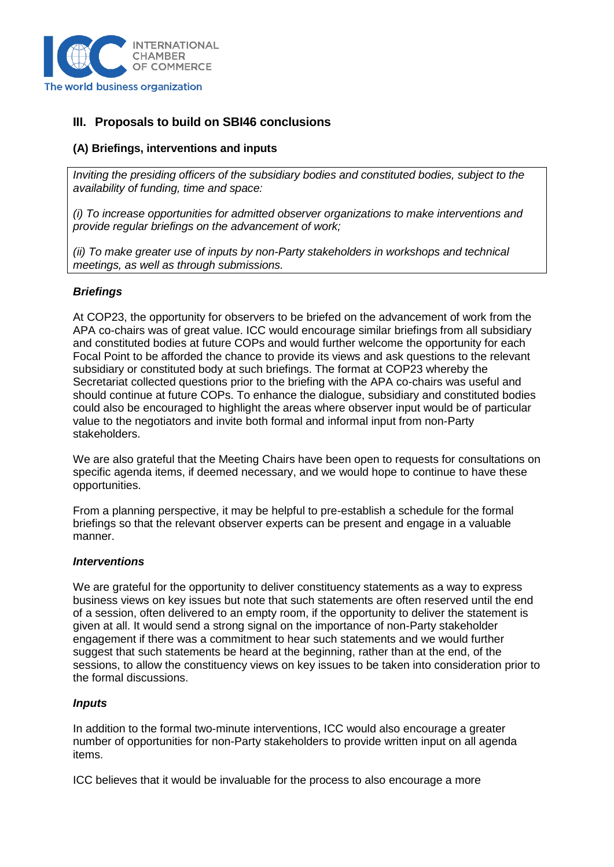

## **III. Proposals to build on SBI46 conclusions**

#### **(A) Briefings, interventions and inputs**

*Inviting the presiding officers of the subsidiary bodies and constituted bodies, subject to the availability of funding, time and space:* 

*(i) To increase opportunities for admitted observer organizations to make interventions and provide regular briefings on the advancement of work;* 

*(ii) To make greater use of inputs by non-Party stakeholders in workshops and technical meetings, as well as through submissions.*

#### *Briefings*

At COP23, the opportunity for observers to be briefed on the advancement of work from the APA co-chairs was of great value. ICC would encourage similar briefings from all subsidiary and constituted bodies at future COPs and would further welcome the opportunity for each Focal Point to be afforded the chance to provide its views and ask questions to the relevant subsidiary or constituted body at such briefings. The format at COP23 whereby the Secretariat collected questions prior to the briefing with the APA co-chairs was useful and should continue at future COPs. To enhance the dialogue, subsidiary and constituted bodies could also be encouraged to highlight the areas where observer input would be of particular value to the negotiators and invite both formal and informal input from non-Party stakeholders.

We are also grateful that the Meeting Chairs have been open to requests for consultations on specific agenda items, if deemed necessary, and we would hope to continue to have these opportunities.

From a planning perspective, it may be helpful to pre-establish a schedule for the formal briefings so that the relevant observer experts can be present and engage in a valuable manner.

#### *Interventions*

We are grateful for the opportunity to deliver constituency statements as a way to express business views on key issues but note that such statements are often reserved until the end of a session, often delivered to an empty room, if the opportunity to deliver the statement is given at all. It would send a strong signal on the importance of non-Party stakeholder engagement if there was a commitment to hear such statements and we would further suggest that such statements be heard at the beginning, rather than at the end, of the sessions, to allow the constituency views on key issues to be taken into consideration prior to the formal discussions.

#### *Inputs*

In addition to the formal two-minute interventions, ICC would also encourage a greater number of opportunities for non-Party stakeholders to provide written input on all agenda items.

ICC believes that it would be invaluable for the process to also encourage a more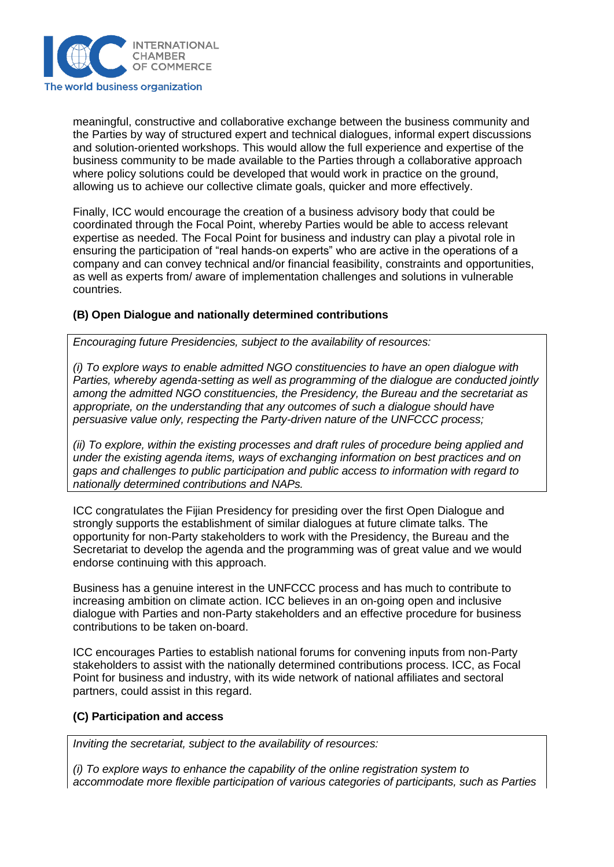

meaningful, constructive and collaborative exchange between the business community and the Parties by way of structured expert and technical dialogues, informal expert discussions and solution-oriented workshops. This would allow the full experience and expertise of the business community to be made available to the Parties through a collaborative approach where policy solutions could be developed that would work in practice on the ground, allowing us to achieve our collective climate goals, quicker and more effectively.

Finally, ICC would encourage the creation of a business advisory body that could be coordinated through the Focal Point, whereby Parties would be able to access relevant expertise as needed. The Focal Point for business and industry can play a pivotal role in ensuring the participation of "real hands-on experts" who are active in the operations of a company and can convey technical and/or financial feasibility, constraints and opportunities, as well as experts from/ aware of implementation challenges and solutions in vulnerable countries.

#### **(B) Open Dialogue and nationally determined contributions**

*Encouraging future Presidencies, subject to the availability of resources:* 

*(i) To explore ways to enable admitted NGO constituencies to have an open dialogue with Parties, whereby agenda-setting as well as programming of the dialogue are conducted jointly among the admitted NGO constituencies, the Presidency, the Bureau and the secretariat as appropriate, on the understanding that any outcomes of such a dialogue should have persuasive value only, respecting the Party-driven nature of the UNFCCC process;* 

*(ii) To explore, within the existing processes and draft rules of procedure being applied and under the existing agenda items, ways of exchanging information on best practices and on gaps and challenges to public participation and public access to information with regard to nationally determined contributions and NAPs.*

ICC congratulates the Fijian Presidency for presiding over the first Open Dialogue and strongly supports the establishment of similar dialogues at future climate talks. The opportunity for non-Party stakeholders to work with the Presidency, the Bureau and the Secretariat to develop the agenda and the programming was of great value and we would endorse continuing with this approach.

Business has a genuine interest in the UNFCCC process and has much to contribute to increasing ambition on climate action. ICC believes in an on-going open and inclusive dialogue with Parties and non-Party stakeholders and an effective procedure for business contributions to be taken on-board.

ICC encourages Parties to establish national forums for convening inputs from non-Party stakeholders to assist with the nationally determined contributions process. ICC, as Focal Point for business and industry, with its wide network of national affiliates and sectoral partners, could assist in this regard.

#### **(C) Participation and access**

*Inviting the secretariat, subject to the availability of resources:* 

*(i) To explore ways to enhance the capability of the online registration system to accommodate more flexible participation of various categories of participants, such as Parties*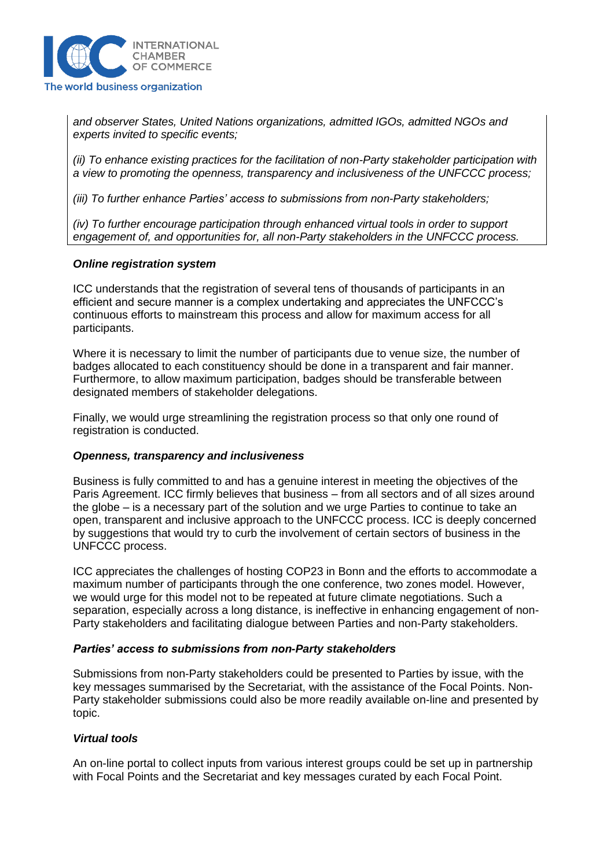

*and observer States, United Nations organizations, admitted IGOs, admitted NGOs and experts invited to specific events;* 

*(ii) To enhance existing practices for the facilitation of non-Party stakeholder participation with a view to promoting the openness, transparency and inclusiveness of the UNFCCC process;* 

*(iii) To further enhance Parties' access to submissions from non-Party stakeholders;* 

*(iv) To further encourage participation through enhanced virtual tools in order to support engagement of, and opportunities for, all non-Party stakeholders in the UNFCCC process.* 

#### *Online registration system*

ICC understands that the registration of several tens of thousands of participants in an efficient and secure manner is a complex undertaking and appreciates the UNFCCC's continuous efforts to mainstream this process and allow for maximum access for all participants.

Where it is necessary to limit the number of participants due to venue size, the number of badges allocated to each constituency should be done in a transparent and fair manner. Furthermore, to allow maximum participation, badges should be transferable between designated members of stakeholder delegations.

Finally, we would urge streamlining the registration process so that only one round of registration is conducted.

#### *Openness, transparency and inclusiveness*

Business is fully committed to and has a genuine interest in meeting the objectives of the Paris Agreement. ICC firmly believes that business – from all sectors and of all sizes around the globe – is a necessary part of the solution and we urge Parties to continue to take an open, transparent and inclusive approach to the UNFCCC process. ICC is deeply concerned by suggestions that would try to curb the involvement of certain sectors of business in the UNFCCC process.

ICC appreciates the challenges of hosting COP23 in Bonn and the efforts to accommodate a maximum number of participants through the one conference, two zones model. However, we would urge for this model not to be repeated at future climate negotiations. Such a separation, especially across a long distance, is ineffective in enhancing engagement of non-Party stakeholders and facilitating dialogue between Parties and non-Party stakeholders.

#### *Parties' access to submissions from non-Party stakeholders*

Submissions from non-Party stakeholders could be presented to Parties by issue, with the key messages summarised by the Secretariat, with the assistance of the Focal Points. Non-Party stakeholder submissions could also be more readily available on-line and presented by topic.

#### *Virtual tools*

An on-line portal to collect inputs from various interest groups could be set up in partnership with Focal Points and the Secretariat and key messages curated by each Focal Point.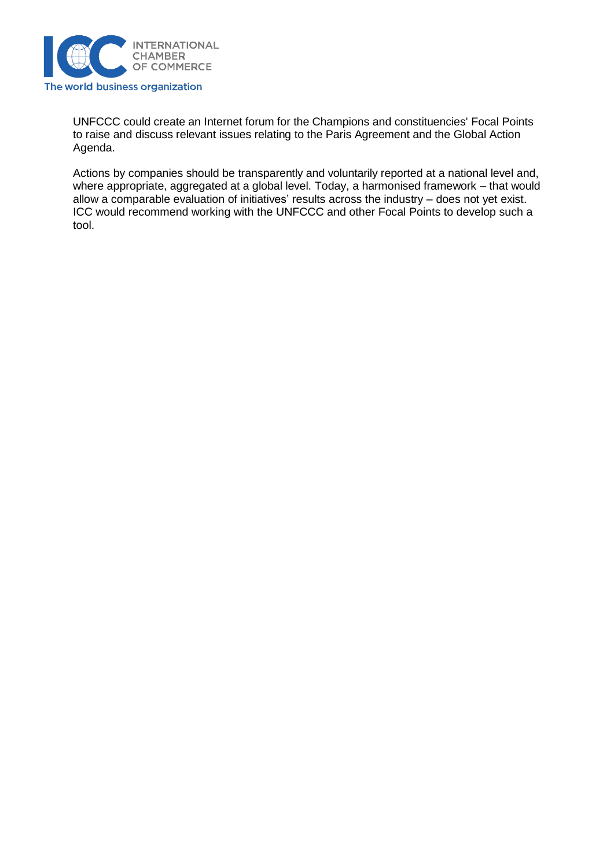

UNFCCC could create an Internet forum for the Champions and constituencies' Focal Points to raise and discuss relevant issues relating to the Paris Agreement and the Global Action Agenda.

Actions by companies should be transparently and voluntarily reported at a national level and, where appropriate, aggregated at a global level. Today, a harmonised framework – that would allow a comparable evaluation of initiatives' results across the industry – does not yet exist. ICC would recommend working with the UNFCCC and other Focal Points to develop such a tool.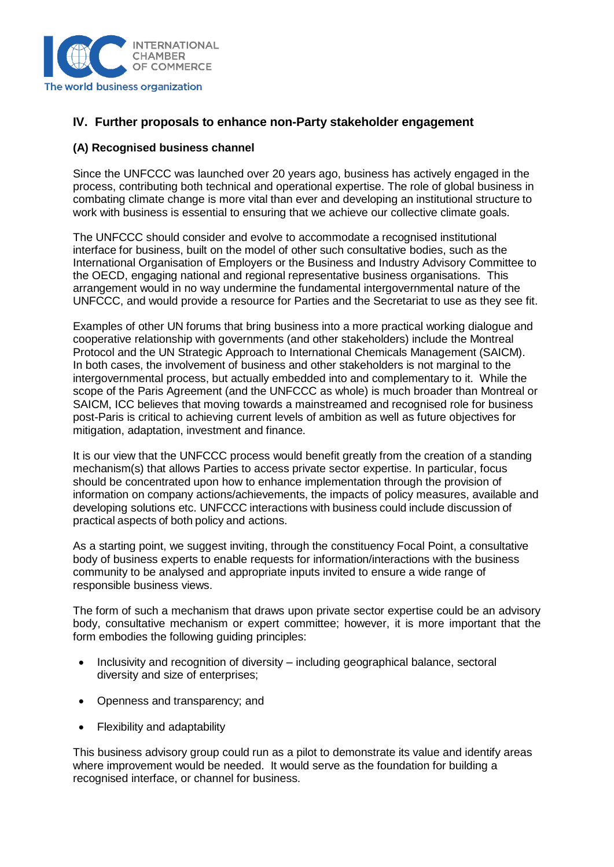

## **IV. Further proposals to enhance non-Party stakeholder engagement**

#### **(A) Recognised business channel**

Since the UNFCCC was launched over 20 years ago, business has actively engaged in the process, contributing both technical and operational expertise. The role of global business in combating climate change is more vital than ever and developing an institutional structure to work with business is essential to ensuring that we achieve our collective climate goals.

The UNFCCC should consider and evolve to accommodate a recognised institutional interface for business, built on the model of other such consultative bodies, such as the International Organisation of Employers or the Business and Industry Advisory Committee to the OECD, engaging national and regional representative business organisations. This arrangement would in no way undermine the fundamental intergovernmental nature of the UNFCCC, and would provide a resource for Parties and the Secretariat to use as they see fit.

Examples of other UN forums that bring business into a more practical working dialogue and cooperative relationship with governments (and other stakeholders) include the Montreal Protocol and the UN Strategic Approach to International Chemicals Management (SAICM). In both cases, the involvement of business and other stakeholders is not marginal to the intergovernmental process, but actually embedded into and complementary to it. While the scope of the Paris Agreement (and the UNFCCC as whole) is much broader than Montreal or SAICM, ICC believes that moving towards a mainstreamed and recognised role for business post-Paris is critical to achieving current levels of ambition as well as future objectives for mitigation, adaptation, investment and finance.

It is our view that the UNFCCC process would benefit greatly from the creation of a standing mechanism(s) that allows Parties to access private sector expertise. In particular, focus should be concentrated upon how to enhance implementation through the provision of information on company actions/achievements, the impacts of policy measures, available and developing solutions etc. UNFCCC interactions with business could include discussion of practical aspects of both policy and actions.

As a starting point, we suggest inviting, through the constituency Focal Point, a consultative body of business experts to enable requests for information/interactions with the business community to be analysed and appropriate inputs invited to ensure a wide range of responsible business views.

The form of such a mechanism that draws upon private sector expertise could be an advisory body, consultative mechanism or expert committee; however, it is more important that the form embodies the following guiding principles:

- Inclusivity and recognition of diversity including geographical balance, sectoral diversity and size of enterprises;
- Openness and transparency; and
- Flexibility and adaptability

This business advisory group could run as a pilot to demonstrate its value and identify areas where improvement would be needed. It would serve as the foundation for building a recognised interface, or channel for business.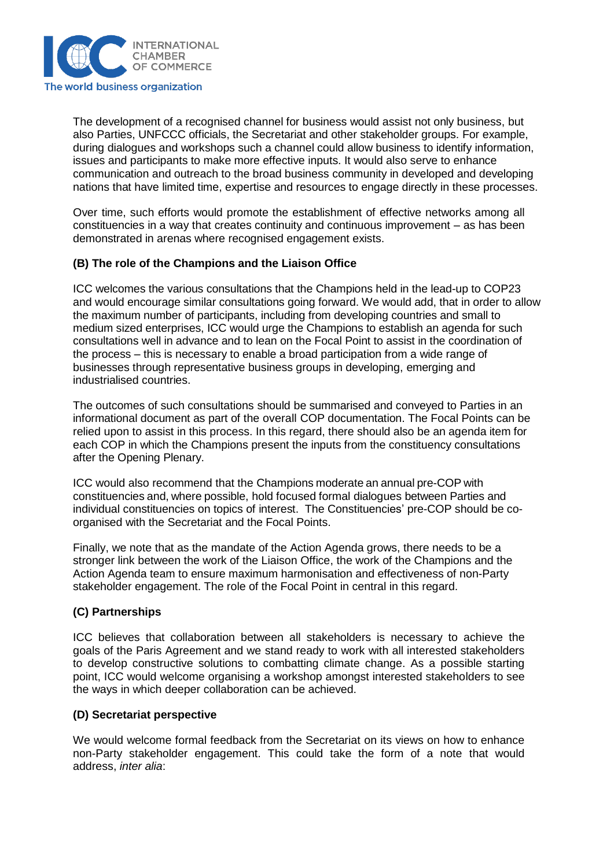

The development of a recognised channel for business would assist not only business, but also Parties, UNFCCC officials, the Secretariat and other stakeholder groups. For example, during dialogues and workshops such a channel could allow business to identify information, issues and participants to make more effective inputs. It would also serve to enhance communication and outreach to the broad business community in developed and developing nations that have limited time, expertise and resources to engage directly in these processes.

Over time, such efforts would promote the establishment of effective networks among all constituencies in a way that creates continuity and continuous improvement – as has been demonstrated in arenas where recognised engagement exists.

#### **(B) The role of the Champions and the Liaison Office**

ICC welcomes the various consultations that the Champions held in the lead-up to COP23 and would encourage similar consultations going forward. We would add, that in order to allow the maximum number of participants, including from developing countries and small to medium sized enterprises, ICC would urge the Champions to establish an agenda for such consultations well in advance and to lean on the Focal Point to assist in the coordination of the process – this is necessary to enable a broad participation from a wide range of businesses through representative business groups in developing, emerging and industrialised countries.

The outcomes of such consultations should be summarised and conveyed to Parties in an informational document as part of the overall COP documentation. The Focal Points can be relied upon to assist in this process. In this regard, there should also be an agenda item for each COP in which the Champions present the inputs from the constituency consultations after the Opening Plenary.

ICC would also recommend that the Champions moderate an annual pre-COP with constituencies and, where possible, hold focused formal dialogues between Parties and individual constituencies on topics of interest. The Constituencies' pre-COP should be coorganised with the Secretariat and the Focal Points.

Finally, we note that as the mandate of the Action Agenda grows, there needs to be a stronger link between the work of the Liaison Office, the work of the Champions and the Action Agenda team to ensure maximum harmonisation and effectiveness of non-Party stakeholder engagement. The role of the Focal Point in central in this regard.

## **(C) Partnerships**

ICC believes that collaboration between all stakeholders is necessary to achieve the goals of the Paris Agreement and we stand ready to work with all interested stakeholders to develop constructive solutions to combatting climate change. As a possible starting point, ICC would welcome organising a workshop amongst interested stakeholders to see the ways in which deeper collaboration can be achieved.

#### **(D) Secretariat perspective**

We would welcome formal feedback from the Secretariat on its views on how to enhance non-Party stakeholder engagement. This could take the form of a note that would address, *inter alia*: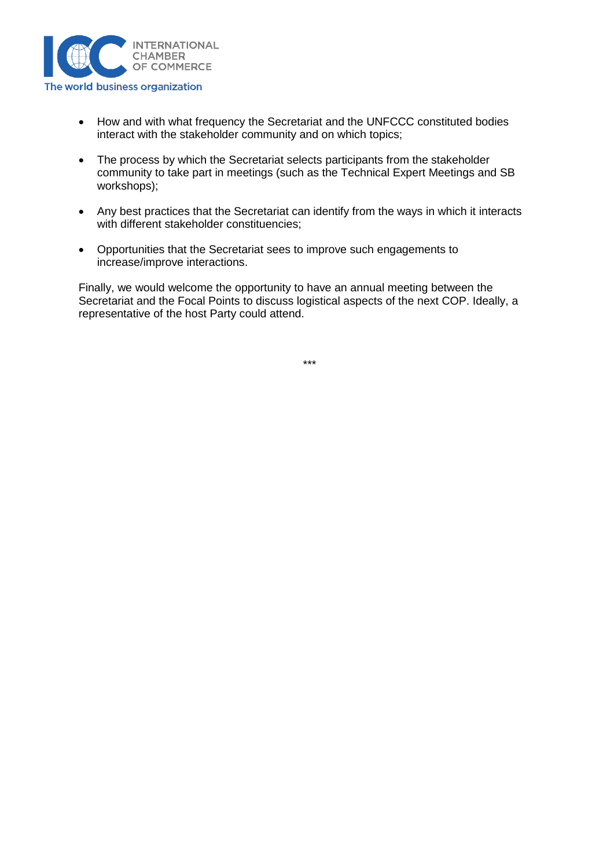

- How and with what frequency the Secretariat and the UNFCCC constituted bodies interact with the stakeholder community and on which topics;
- The process by which the Secretariat selects participants from the stakeholder community to take part in meetings (such as the Technical Expert Meetings and SB workshops);
- Any best practices that the Secretariat can identify from the ways in which it interacts with different stakeholder constituencies;
- Opportunities that the Secretariat sees to improve such engagements to increase/improve interactions.

Finally, we would welcome the opportunity to have an annual meeting between the Secretariat and the Focal Points to discuss logistical aspects of the next COP. Ideally, a representative of the host Party could attend.

\*\*\*